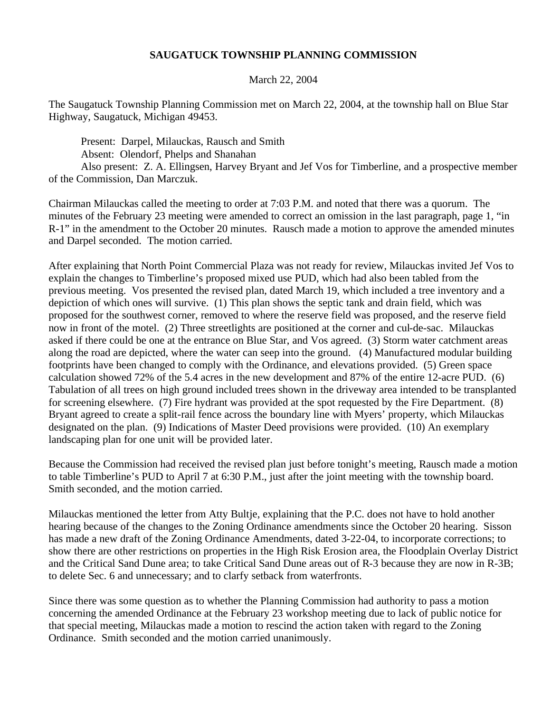## **SAUGATUCK TOWNSHIP PLANNING COMMISSION**

## March 22, 2004

The Saugatuck Township Planning Commission met on March 22, 2004, at the township hall on Blue Star Highway, Saugatuck, Michigan 49453.

Present: Darpel, Milauckas, Rausch and Smith Absent: Olendorf, Phelps and Shanahan

Also present: Z. A. Ellingsen, Harvey Bryant and Jef Vos for Timberline, and a prospective member of the Commission, Dan Marczuk.

Chairman Milauckas called the meeting to order at 7:03 P.M. and noted that there was a quorum. The minutes of the February 23 meeting were amended to correct an omission in the last paragraph, page 1, "in R-1" in the amendment to the October 20 minutes. Rausch made a motion to approve the amended minutes and Darpel seconded. The motion carried.

After explaining that North Point Commercial Plaza was not ready for review, Milauckas invited Jef Vos to explain the changes to Timberline's proposed mixed use PUD, which had also been tabled from the previous meeting. Vos presented the revised plan, dated March 19, which included a tree inventory and a depiction of which ones will survive. (1) This plan shows the septic tank and drain field, which was proposed for the southwest corner, removed to where the reserve field was proposed, and the reserve field now in front of the motel. (2) Three streetlights are positioned at the corner and cul-de-sac. Milauckas asked if there could be one at the entrance on Blue Star, and Vos agreed. (3) Storm water catchment areas along the road are depicted, where the water can seep into the ground. (4) Manufactured modular building footprints have been changed to comply with the Ordinance, and elevations provided. (5) Green space calculation showed 72% of the 5.4 acres in the new development and 87% of the entire 12-acre PUD. (6) Tabulation of all trees on high ground included trees shown in the driveway area intended to be transplanted for screening elsewhere. (7) Fire hydrant was provided at the spot requested by the Fire Department. (8) Bryant agreed to create a split-rail fence across the boundary line with Myers' property, which Milauckas designated on the plan. (9) Indications of Master Deed provisions were provided. (10) An exemplary landscaping plan for one unit will be provided later.

Because the Commission had received the revised plan just before tonight's meeting, Rausch made a motion to table Timberline's PUD to April 7 at 6:30 P.M., just after the joint meeting with the township board. Smith seconded, and the motion carried.

Milauckas mentioned the letter from Atty Bultje, explaining that the P.C. does not have to hold another hearing because of the changes to the Zoning Ordinance amendments since the October 20 hearing. Sisson has made a new draft of the Zoning Ordinance Amendments, dated 3-22-04, to incorporate corrections; to show there are other restrictions on properties in the High Risk Erosion area, the Floodplain Overlay District and the Critical Sand Dune area; to take Critical Sand Dune areas out of R-3 because they are now in R-3B; to delete Sec. 6 and unnecessary; and to clarfy setback from waterfronts.

Since there was some question as to whether the Planning Commission had authority to pass a motion concerning the amended Ordinance at the February 23 workshop meeting due to lack of public notice for that special meeting, Milauckas made a motion to rescind the action taken with regard to the Zoning Ordinance. Smith seconded and the motion carried unanimously.